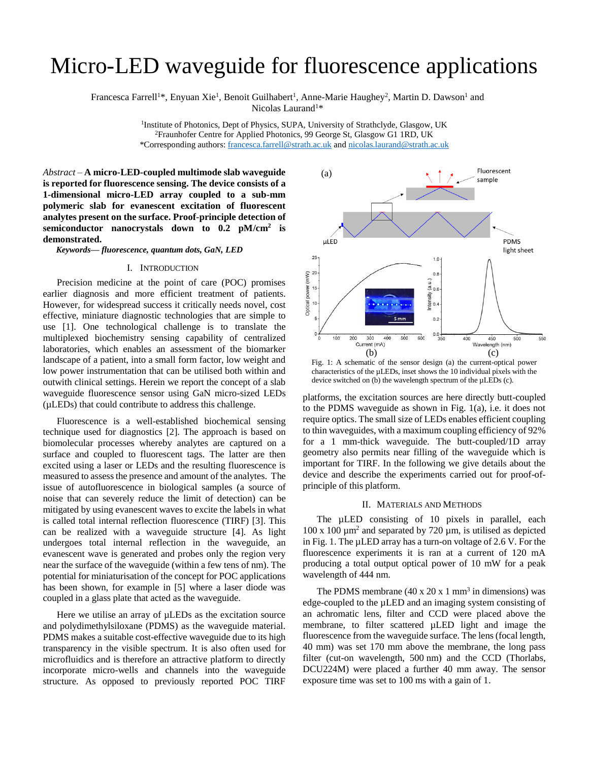# Micro-LED waveguide for fluorescence applications

Francesca Farrell<sup>1\*</sup>, Enyuan Xie<sup>1</sup>, Benoit Guilhabert<sup>1</sup>, Anne-Marie Haughey<sup>2</sup>, Martin D. Dawson<sup>1</sup> and Nicolas Laurand<sup>1\*</sup>

> <sup>1</sup>Institute of Photonics, Dept of Physics, SUPA, University of Strathclyde, Glasgow, UK <sup>2</sup>Fraunhofer Centre for Applied Photonics, 99 George St, Glasgow G1 1RD, UK \*Corresponding authors: [francesca.farrell@strath.ac.uk](mailto:francesca.farrell@strath.ac.uk) an[d nicolas.laurand@strath.ac.uk](mailto:nicolas.laurand@strath.ac.uk)

*Abstract* – **A micro-LED-coupled multimode slab waveguide is reported for fluorescence sensing. The device consists of a 1-dimensional micro-LED array coupled to a sub-mm polymeric slab for evanescent excitation of fluorescent analytes present on the surface. Proof-principle detection of semiconductor nanocrystals down to 0.2 pM/cm<sup>2</sup> is demonstrated.**

*Keywords— fluorescence, quantum dots, GaN, LED*

### I. INTRODUCTION

Precision medicine at the point of care (POC) promises earlier diagnosis and more efficient treatment of patients. However, for widespread success it critically needs novel, cost effective, miniature diagnostic technologies that are simple to use [1]. One technological challenge is to translate the multiplexed biochemistry sensing capability of centralized laboratories, which enables an assessment of the biomarker landscape of a patient, into a small form factor, low weight and low power instrumentation that can be utilised both within and outwith clinical settings. Herein we report the concept of a slab waveguide fluorescence sensor using GaN micro-sized LEDs (µLEDs) that could contribute to address this challenge.

Fluorescence is a well-established biochemical sensing technique used for diagnostics [2]. The approach is based on biomolecular processes whereby analytes are captured on a surface and coupled to fluorescent tags. The latter are then excited using a laser or LEDs and the resulting fluorescence is measured to assess the presence and amount of the analytes. The issue of autofluorescence in biological samples (a source of noise that can severely reduce the limit of detection) can be mitigated by using evanescent waves to excite the labels in what is called total internal reflection fluorescence (TIRF) [3]. This can be realized with a waveguide structure [4]. As light undergoes total internal reflection in the waveguide, an evanescent wave is generated and probes only the region very near the surface of the waveguide (within a few tens of nm). The potential for miniaturisation of the concept for POC applications has been shown, for example in [5] where a laser diode was coupled in a glass plate that acted as the waveguide.

Here we utilise an array of  $\mu$ LEDs as the excitation source and polydimethylsiloxane (PDMS) as the waveguide material. PDMS makes a suitable cost-effective waveguide due to its high transparency in the visible spectrum. It is also often used for microfluidics and is therefore an attractive platform to directly incorporate micro-wells and channels into the waveguide structure. As opposed to previously reported POC TIRF



Fig. 1: A schematic of the sensor design (a) the current-optical power characteristics of the µLEDs, inset shows the 10 individual pixels with the device switched on (b) the wavelength spectrum of the µLEDs (c).

platforms, the excitation sources are here directly butt-coupled to the PDMS waveguide as shown in Fig. 1(a), i.e. it does not require optics. The small size of LEDs enables efficient coupling to thin waveguides, with a maximum coupling efficiency of 92% for a 1 mm-thick waveguide. The butt-coupled/1D array geometry also permits near filling of the waveguide which is important for TIRF. In the following we give details about the device and describe the experiments carried out for proof-ofprinciple of this platform.

#### II. MATERIALS AND METHODS

The  $\mu$ LED consisting of 10 pixels in parallel, each 100 x 100  $\mu$ m<sup>2</sup> and separated by 720  $\mu$ m, is utilised as depicted in Fig. 1. The µLED array has a turn-on voltage of 2.6 V. For the fluorescence experiments it is ran at a current of 120 mA producing a total output optical power of 10 mW for a peak wavelength of 444 nm.

The PDMS membrane  $(40 \times 20 \times 1 \text{ mm}^3)$  in dimensions) was edge-coupled to the µLED and an imaging system consisting of an achromatic lens, filter and CCD were placed above the membrane, to filter scattered µLED light and image the fluorescence from the waveguide surface. The lens (focal length, 40 mm) was set 170 mm above the membrane, the long pass filter (cut-on wavelength, 500 nm) and the CCD (Thorlabs, DCU224M) were placed a further 40 mm away. The sensor exposure time was set to 100 ms with a gain of 1.